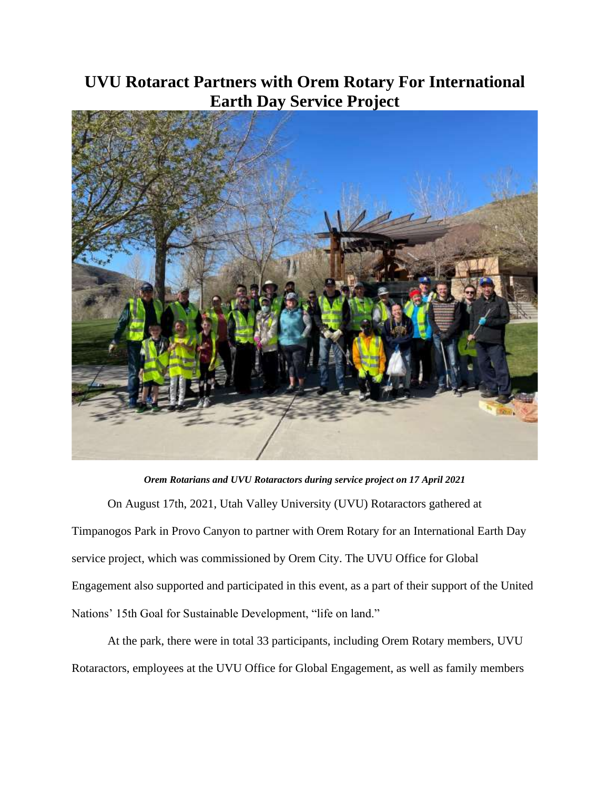## **UVU Rotaract Partners with Orem Rotary For International Earth Day Service Project**



*Orem Rotarians and UVU Rotaractors during service project on 17 April 2021* On August 17th, 2021, Utah Valley University (UVU) Rotaractors gathered at Timpanogos Park in Provo Canyon to partner with Orem Rotary for an International Earth Day service project, which was commissioned by Orem City. The UVU Office for Global Engagement also supported and participated in this event, as a part of their support of the United Nations' 15th Goal for Sustainable Development, "life on land."

At the park, there were in total 33 participants, including Orem Rotary members, UVU Rotaractors, employees at the UVU Office for Global Engagement, as well as family members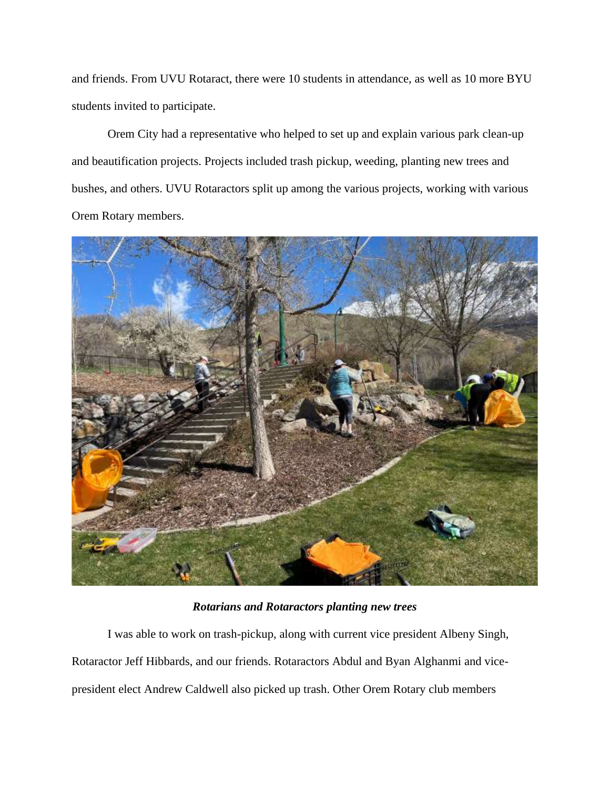and friends. From UVU Rotaract, there were 10 students in attendance, as well as 10 more BYU students invited to participate.

Orem City had a representative who helped to set up and explain various park clean-up and beautification projects. Projects included trash pickup, weeding, planting new trees and bushes, and others. UVU Rotaractors split up among the various projects, working with various Orem Rotary members.



*Rotarians and Rotaractors planting new trees*

I was able to work on trash-pickup, along with current vice president Albeny Singh, Rotaractor Jeff Hibbards, and our friends. Rotaractors Abdul and Byan Alghanmi and vicepresident elect Andrew Caldwell also picked up trash. Other Orem Rotary club members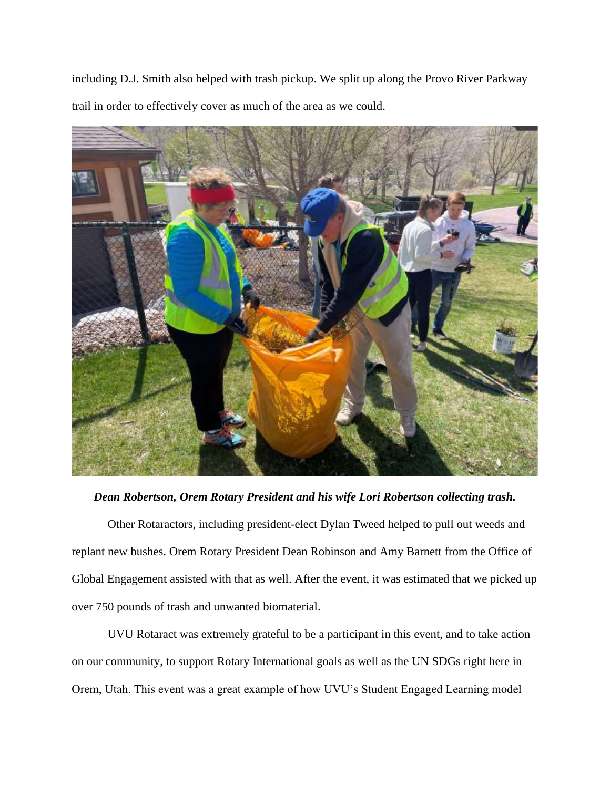including D.J. Smith also helped with trash pickup. We split up along the Provo River Parkway trail in order to effectively cover as much of the area as we could.



## *Dean Robertson, Orem Rotary President and his wife Lori Robertson collecting trash.*

Other Rotaractors, including president-elect Dylan Tweed helped to pull out weeds and replant new bushes. Orem Rotary President Dean Robinson and Amy Barnett from the Office of Global Engagement assisted with that as well. After the event, it was estimated that we picked up over 750 pounds of trash and unwanted biomaterial.

UVU Rotaract was extremely grateful to be a participant in this event, and to take action on our community, to support Rotary International goals as well as the UN SDGs right here in Orem, Utah. This event was a great example of how UVU's Student Engaged Learning model